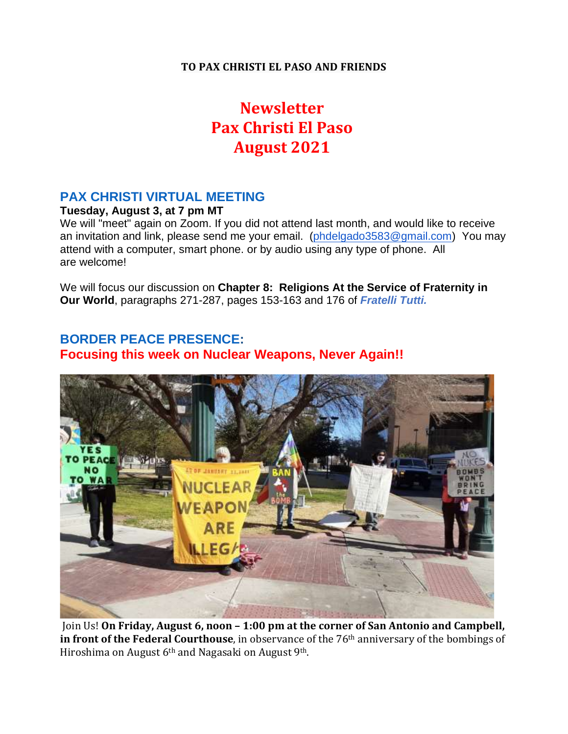### **TO PAX CHRISTI EL PASO AND FRIENDS**

# **Newsletter Pax Christi El Paso August 2021**

### **PAX CHRISTI VIRTUAL MEETING**

### **Tuesday, August 3, at 7 pm MT**

We will "meet" again on Zoom. If you did not attend last month, and would like to receive an invitation and link, please send me your email. [\(phdelgado3583@gmail.com\)](mailto:phdelgado3583@gmail.com) You may attend with a computer, smart phone. or by audio using any type of phone. All are welcome!

We will focus our discussion on **Chapter 8: Religions At the Service of Fraternity in Our World**, paragraphs 271-287, pages 153-163 and 176 of *Fratelli Tutti.*

### **BORDER PEACE PRESENCE: Focusing this week on Nuclear Weapons, Never Again!!**



Join Us! **On Friday, August 6, noon – 1:00 pm at the corner of San Antonio and Campbell, in front of the Federal Courthouse**, in observance of the 76th anniversary of the bombings of Hiroshima on August 6<sup>th</sup> and Nagasaki on August 9<sup>th</sup>.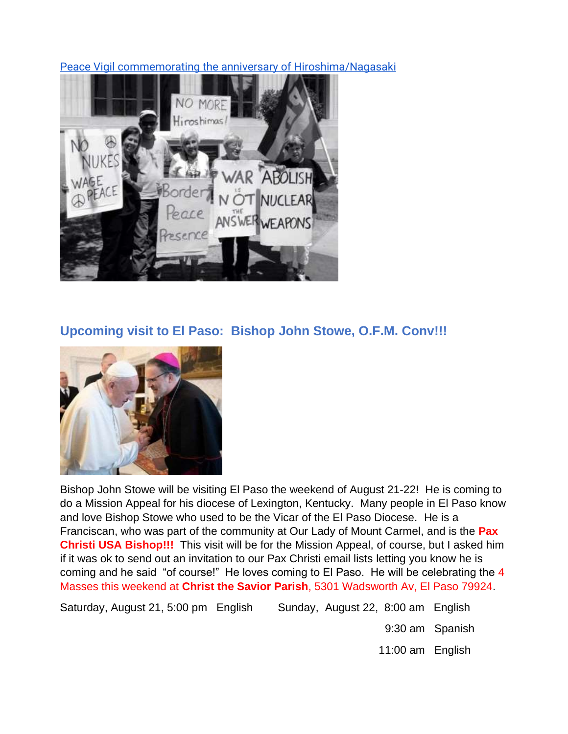[Peace Vigil commemorating the anniversary of Hiroshima/Nagasaki](https://click.everyaction.com/k/33361620/298650339/1605608498?nvep=ew0KICAiVGVuYW50VXJpIjogIm5ncHZhbjovL3Zhbi9QRUFDVC9QRUFDVC8xLzcyNTAxIiwNCiAgIkRpc3RyaWJ1dGlvblVuaXF1ZUlkIjogIjc2MTk4ZmMzLWY5ZjItZWIxMS1iNTYzLTUwMWFjNTdiOGZhNyIsDQogICJFbWFpbEFkZHJlc3MiOiAicGhkZWxnYWRvMzU4M0BnbWFpbC5jb20iDQp9&hmac=L3Fb9xsxzV9Pki9Wqm-OPtLmOlQSiLVJQj8ojvvGQEc=&emci=8b5ecc66-f4f2-eb11-b563-501ac57b8fa7&emdi=76198fc3-f9f2-eb11-b563-501ac57b8fa7&ceid=282036)



## **Upcoming visit to El Paso: Bishop John Stowe, O.F.M. Conv!!!**



Bishop John Stowe will be visiting El Paso the weekend of August 21-22! He is coming to do a Mission Appeal for his diocese of Lexington, Kentucky. Many people in El Paso know and love Bishop Stowe who used to be the Vicar of the El Paso Diocese. He is a Franciscan, who was part of the community at Our Lady of Mount Carmel, and is the **Pax Christi USA Bishop!!!** This visit will be for the Mission Appeal, of course, but I asked him if it was ok to send out an invitation to our Pax Christi email lists letting you know he is coming and he said "of course!" He loves coming to El Paso. He will be celebrating the 4 Masses this weekend at **Christ the Savior Parish**, 5301 Wadsworth Av, El Paso 79924.

Saturday, August 21, 5:00 pm English Sunday, August 22, 8:00 am English

9:30 am Spanish

11:00 am English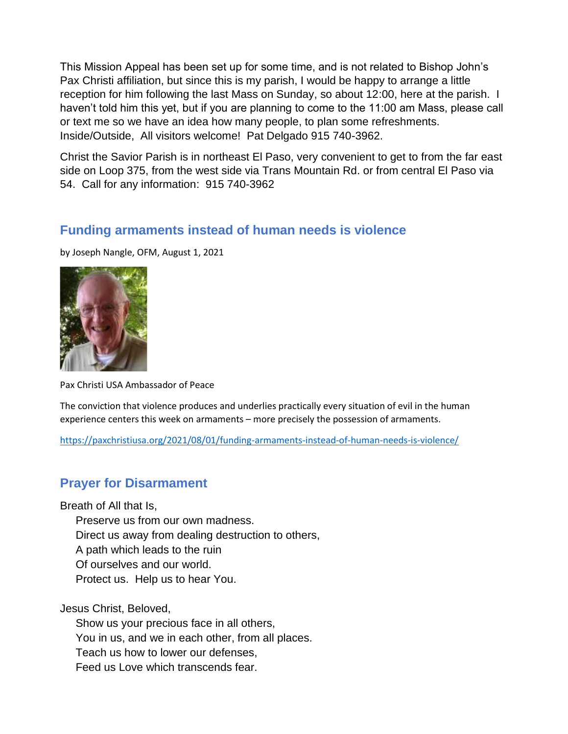This Mission Appeal has been set up for some time, and is not related to Bishop John's Pax Christi affiliation, but since this is my parish, I would be happy to arrange a little reception for him following the last Mass on Sunday, so about 12:00, here at the parish. I haven't told him this yet, but if you are planning to come to the 11:00 am Mass, please call or text me so we have an idea how many people, to plan some refreshments. Inside/Outside, All visitors welcome! Pat Delgado 915 740-3962.

Christ the Savior Parish is in northeast El Paso, very convenient to get to from the far east side on Loop 375, from the west side via Trans Mountain Rd. or from central El Paso via 54. Call for any information: 915 740-3962

### **Funding armaments instead of human needs is violence**

by Joseph Nangle, OFM, August 1, 2021

![](_page_2_Picture_4.jpeg)

Pax Christi USA Ambassador of Peace

The conviction that violence produces and underlies practically every situation of evil in the human experience centers this week on armaments – more precisely the possession of armaments.

<https://paxchristiusa.org/2021/08/01/funding-armaments-instead-of-human-needs-is-violence/>

### **Prayer for Disarmament**

Breath of All that Is,

Preserve us from our own madness.

Direct us away from dealing destruction to others,

A path which leads to the ruin

Of ourselves and our world.

Protect us. Help us to hear You.

Jesus Christ, Beloved,

 Show us your precious face in all others, You in us, and we in each other, from all places. Teach us how to lower our defenses, Feed us Love which transcends fear.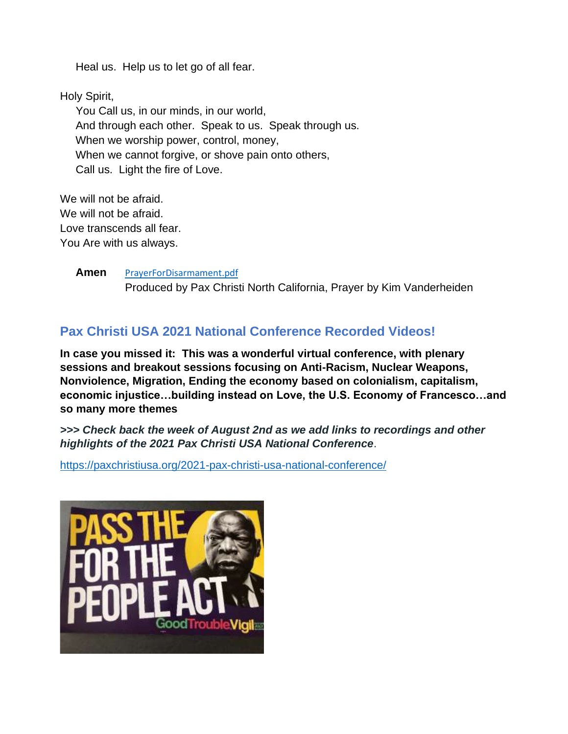Heal us. Help us to let go of all fear.

Holy Spirit,

 You Call us, in our minds, in our world, And through each other. Speak to us. Speak through us. When we worship power, control, money, When we cannot forgive, or shove pain onto others, Call us. Light the fire of Love.

We will not be afraid. We will not be afraid. Love transcends all fear. You Are with us always.

> **Amen** [PrayerForDisarmament.pdf](file:///C:/Users/phdel/Desktop/Pax%20Christi%202021/PrayerForDisarmament.pdf) Produced by Pax Christi North California, Prayer by Kim Vanderheiden

## **Pax Christi USA 2021 National Conference Recorded Videos!**

**In case you missed it: This was a wonderful virtual conference, with plenary sessions and breakout sessions focusing on Anti-Racism, Nuclear Weapons, Nonviolence, Migration, Ending the economy based on colonialism, capitalism, economic injustice…building instead on Love, the U.S. Economy of Francesco…and so many more themes**

*>>> Check back the week of August 2nd as we add links to recordings and other highlights of the 2021 Pax Christi USA National Conference*.

<https://paxchristiusa.org/2021-pax-christi-usa-national-conference/>

![](_page_3_Picture_9.jpeg)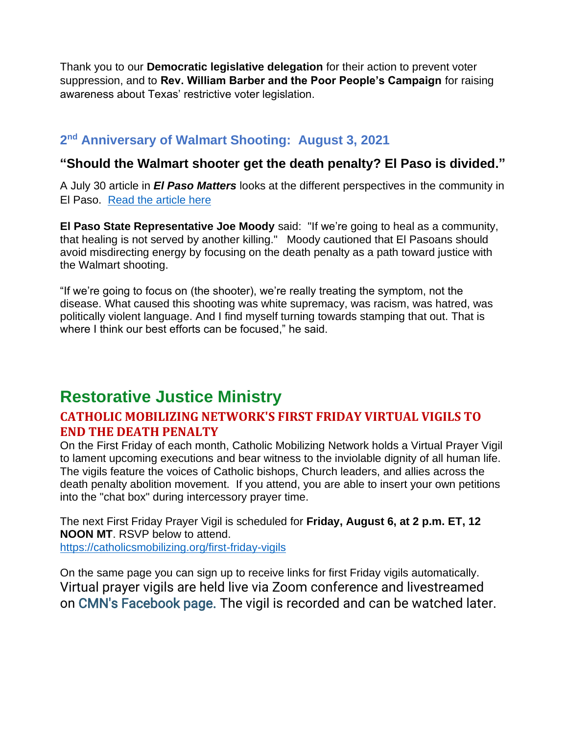Thank you to our **Democratic legislative delegation** for their action to prevent voter suppression, and to **Rev. William Barber and the Poor People's Campaign** for raising awareness about Texas' restrictive voter legislation.

# **2 nd Anniversary of Walmart Shooting: August 3, 2021**

### **"Should the Walmart shooter get the death penalty? El Paso is divided."**

A July 30 article in *El Paso Matters* looks at the different perspectives in the community in El Paso. [Read the article here](https://elpasomatters.org/2021/07/30/should-the-walmart-shooter-get-the-death-penalty-el-paso-is-divided/)

**El Paso State Representative Joe Moody** said: "If we're going to heal as a community, that healing is not served by another killing." Moody cautioned that El Pasoans should avoid misdirecting energy by focusing on the death penalty as a path toward justice with the Walmart shooting.

"If we're going to focus on (the shooter), we're really treating the symptom, not the disease. What caused this shooting was white supremacy, was racism, was hatred, was politically violent language. And I find myself turning towards stamping that out. That is where I think our best efforts can be focused," he said.

# **Restorative Justice Ministry**

## **CATHOLIC MOBILIZING NETWORK'S FIRST FRIDAY VIRTUAL VIGILS TO END THE DEATH PENALTY**

On the First Friday of each month, Catholic Mobilizing Network holds a Virtual Prayer Vigil to lament upcoming executions and bear witness to the inviolable dignity of all human life. The vigils feature the voices of Catholic bishops, Church leaders, and allies across the death penalty abolition movement. If you attend, you are able to insert your own petitions into the "chat box" during intercessory prayer time.

The next First Friday Prayer Vigil is scheduled for **Friday, August 6, at 2 p.m. ET, 12 NOON MT**. RSVP below to attend. <https://catholicsmobilizing.org/first-friday-vigils>

On the same page you can sign up to receive links for first Friday vigils automatically. Virtual prayer vigils are held live via Zoom conference and livestreamed on [CMN's Facebook page.](https://www.facebook.com/CMNEndtheDeathPenalty) The vigil is recorded and can be watched later.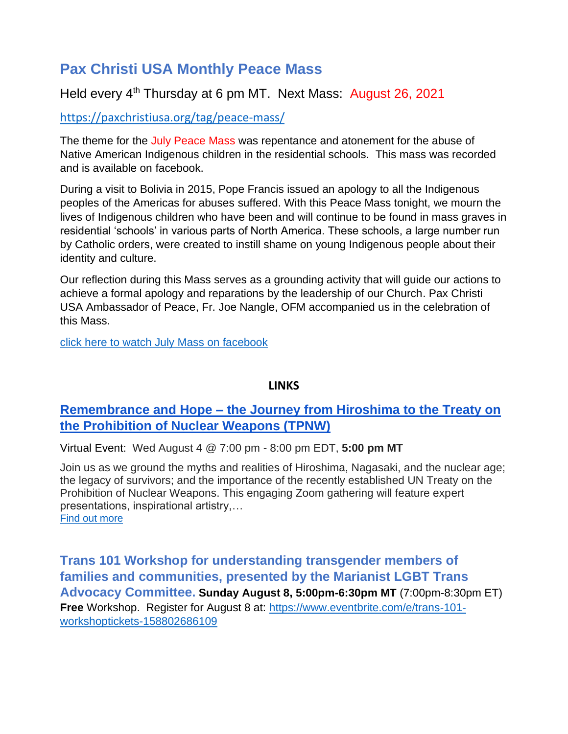# **Pax Christi USA Monthly Peace Mass**

## Held every 4<sup>th</sup> Thursday at 6 pm MT. Next Mass: August 26, 2021

<https://paxchristiusa.org/tag/peace-mass/>

The theme for the July Peace Mass was repentance and atonement for the abuse of Native American Indigenous children in the residential schools. This mass was recorded and is available on facebook.

During a visit to Bolivia in 2015, Pope Francis issued an apology to all the Indigenous peoples of the Americas for abuses suffered. With this Peace Mass tonight, we mourn the lives of Indigenous children who have been and will continue to be found in mass graves in residential 'schools' in various parts of North America. These schools, a large number run by Catholic orders, were created to instill shame on young Indigenous people about their identity and culture.

Our reflection during this Mass serves as a grounding activity that will guide our actions to achieve a formal apology and reparations by the leadership of our Church. Pax Christi USA Ambassador of Peace, Fr. Joe Nangle, OFM accompanied us in the celebration of this Mass.

[click here to watch July Mass on facebook](https://www.facebook.com/watch/live/?v=2909280742622545&ref=watch_permalink)

### **LINKS**

## **Remembrance and Hope – [the Journey from Hiroshima to the Treaty on](https://click.everyaction.com/k/33361625/298650343/-1839333341?nvep=ew0KICAiVGVuYW50VXJpIjogIm5ncHZhbjovL3Zhbi9QRUFDVC9QRUFDVC8xLzcyNTAxIiwNCiAgIkRpc3RyaWJ1dGlvblVuaXF1ZUlkIjogIjc2MTk4ZmMzLWY5ZjItZWIxMS1iNTYzLTUwMWFjNTdiOGZhNyIsDQogICJFbWFpbEFkZHJlc3MiOiAicGhkZWxnYWRvMzU4M0BnbWFpbC5jb20iDQp9&hmac=L3Fb9xsxzV9Pki9Wqm-OPtLmOlQSiLVJQj8ojvvGQEc=&emci=8b5ecc66-f4f2-eb11-b563-501ac57b8fa7&emdi=76198fc3-f9f2-eb11-b563-501ac57b8fa7&ceid=282036)  [the Prohibition of Nuclear Weapons \(TPNW\)](https://click.everyaction.com/k/33361625/298650343/-1839333341?nvep=ew0KICAiVGVuYW50VXJpIjogIm5ncHZhbjovL3Zhbi9QRUFDVC9QRUFDVC8xLzcyNTAxIiwNCiAgIkRpc3RyaWJ1dGlvblVuaXF1ZUlkIjogIjc2MTk4ZmMzLWY5ZjItZWIxMS1iNTYzLTUwMWFjNTdiOGZhNyIsDQogICJFbWFpbEFkZHJlc3MiOiAicGhkZWxnYWRvMzU4M0BnbWFpbC5jb20iDQp9&hmac=L3Fb9xsxzV9Pki9Wqm-OPtLmOlQSiLVJQj8ojvvGQEc=&emci=8b5ecc66-f4f2-eb11-b563-501ac57b8fa7&emdi=76198fc3-f9f2-eb11-b563-501ac57b8fa7&ceid=282036)**

Virtual Event: Wed August 4 @ 7:00 pm - 8:00 pm EDT, **5:00 pm MT**

Join us as we ground the myths and realities of Hiroshima, Nagasaki, and the nuclear age; the legacy of survivors; and the importance of the recently established UN Treaty on the Prohibition of Nuclear Weapons. This engaging Zoom gathering will feature expert presentations, inspirational artistry,… Find out [more](http://masspeaceaction.org/event/remembrance-and-hope-the-journey-from-hiroshima-to-the-treaty-on-the-prohibition-of-nuclear-weapons-tpnw/?emci=8b5ecc66-f4f2-eb11-b563-501ac57b8fa7&emdi=76198fc3-f9f2-eb11-b563-501ac57b8fa7&ceid=282036)

**Trans 101 Workshop for understanding transgender members of families and communities, presented by the Marianist LGBT Trans Advocacy Committee. Sunday August 8, 5:00pm-6:30pm MT** (7:00pm-8:30pm ET) **Free** Workshop. Register for August 8 at: [https://www.eventbrite.com/e/trans-101](https://www.eventbrite.com/e/trans-101-workshoptickets-158802686109) [workshoptickets-158802686109](https://www.eventbrite.com/e/trans-101-workshoptickets-158802686109)